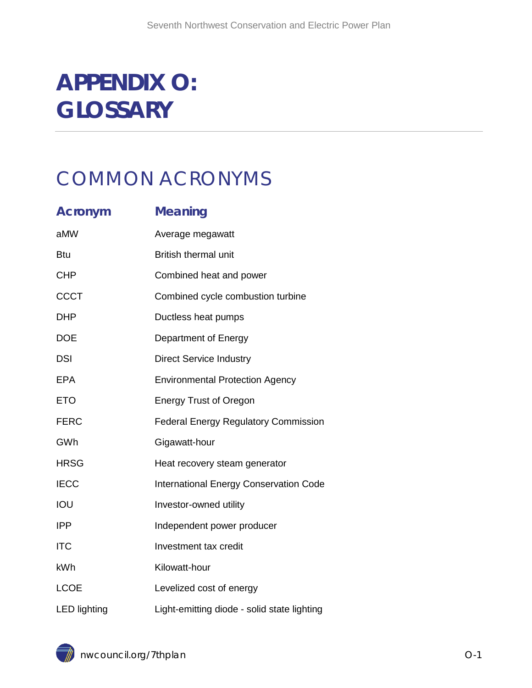# **APPENDIX O: GLOSSARY**

# COMMON ACRONYMS

| <b>Acronym</b>      | <b>Meaning</b>                                |
|---------------------|-----------------------------------------------|
| aMW                 | Average megawatt                              |
| <b>Btu</b>          | <b>British thermal unit</b>                   |
| <b>CHP</b>          | Combined heat and power                       |
| <b>CCCT</b>         | Combined cycle combustion turbine             |
| <b>DHP</b>          | Ductless heat pumps                           |
| <b>DOE</b>          | Department of Energy                          |
| <b>DSI</b>          | <b>Direct Service Industry</b>                |
| <b>EPA</b>          | <b>Environmental Protection Agency</b>        |
| <b>ETO</b>          | <b>Energy Trust of Oregon</b>                 |
| <b>FERC</b>         | <b>Federal Energy Regulatory Commission</b>   |
| GWh                 | Gigawatt-hour                                 |
| <b>HRSG</b>         | Heat recovery steam generator                 |
| <b>IECC</b>         | <b>International Energy Conservation Code</b> |
| IOU                 | Investor-owned utility                        |
| <b>IPP</b>          | Independent power producer                    |
| <b>ITC</b>          | Investment tax credit                         |
| kWh                 | Kilowatt-hour                                 |
| <b>LCOE</b>         | Levelized cost of energy                      |
| <b>LED</b> lighting | Light-emitting diode - solid state lighting   |

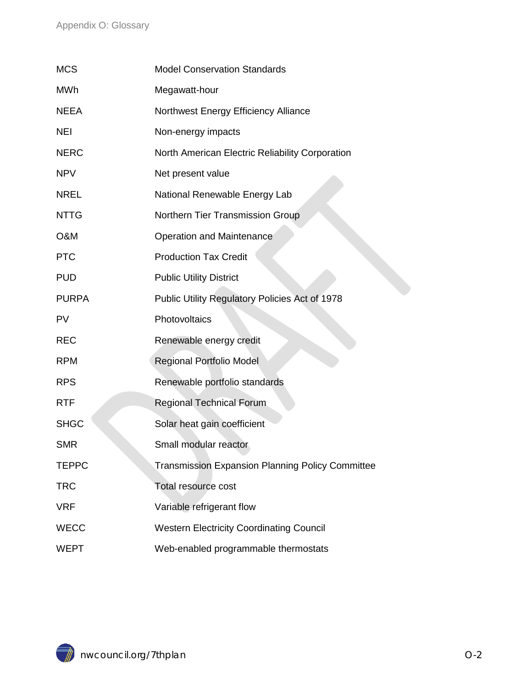| <b>MCS</b>     | <b>Model Conservation Standards</b>                     |
|----------------|---------------------------------------------------------|
| <b>MWh</b>     | Megawatt-hour                                           |
| <b>NEEA</b>    | Northwest Energy Efficiency Alliance                    |
| <b>NEI</b>     | Non-energy impacts                                      |
| <b>NERC</b>    | North American Electric Reliability Corporation         |
| <b>NPV</b>     | Net present value                                       |
| <b>NREL</b>    | National Renewable Energy Lab                           |
| <b>NTTG</b>    | Northern Tier Transmission Group                        |
| <b>O&amp;M</b> | <b>Operation and Maintenance</b>                        |
| <b>PTC</b>     | <b>Production Tax Credit</b>                            |
| <b>PUD</b>     | <b>Public Utility District</b>                          |
| <b>PURPA</b>   | Public Utility Regulatory Policies Act of 1978          |
| <b>PV</b>      | Photovoltaics                                           |
| <b>REC</b>     | Renewable energy credit                                 |
| <b>RPM</b>     | Regional Portfolio Model                                |
| <b>RPS</b>     | Renewable portfolio standards                           |
| <b>RTF</b>     | <b>Regional Technical Forum</b>                         |
| <b>SHGC</b>    | Solar heat gain coefficient                             |
| <b>SMR</b>     | Small modular reactor                                   |
| <b>TEPPC</b>   | <b>Transmission Expansion Planning Policy Committee</b> |
| <b>TRC</b>     | <b>Total resource cost</b>                              |
| <b>VRF</b>     | Variable refrigerant flow                               |
| <b>WECC</b>    | <b>Western Electricity Coordinating Council</b>         |
| <b>WEPT</b>    | Web-enabled programmable thermostats                    |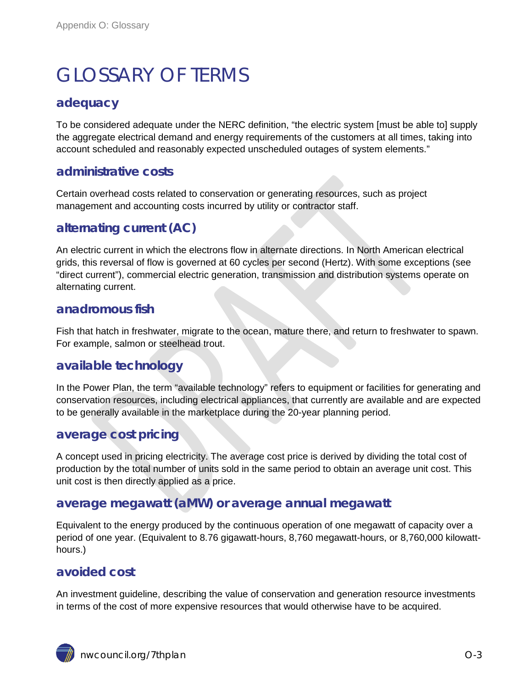# GLOSSARY OF TERMS

# **adequacy**

To be considered adequate under the NERC definition, "the electric system [must be able to] supply the aggregate electrical demand and energy requirements of the customers at all times, taking into account scheduled and reasonably expected unscheduled outages of system elements."

### **administrative costs**

Certain overhead costs related to conservation or generating resources, such as project management and accounting costs incurred by utility or contractor staff.

# **alternating current (AC)**

An electric current in which the electrons flow in alternate directions. In North American electrical grids, this reversal of flow is governed at 60 cycles per second (Hertz). With some exceptions (see "direct current"), commercial electric generation, transmission and distribution systems operate on alternating current.

### **anadromous fish**

Fish that hatch in freshwater, migrate to the ocean, mature there, and return to freshwater to spawn. For example, salmon or steelhead trout.

## **available technology**

In the Power Plan, the term "available technology" refers to equipment or facilities for generating and conservation resources, including electrical appliances, that currently are available and are expected to be generally available in the marketplace during the 20-year planning period.

## **average cost pricing**

A concept used in pricing electricity. The average cost price is derived by dividing the total cost of production by the total number of units sold in the same period to obtain an average unit cost. This unit cost is then directly applied as a price.

## **average megawatt (aMW) or average annual megawatt**

Equivalent to the energy produced by the continuous operation of one megawatt of capacity over a period of one year. (Equivalent to 8.76 gigawatt-hours, 8,760 megawatt-hours, or 8,760,000 kilowatthours.)

## **avoided cost**

An investment guideline, describing the value of conservation and generation resource investments in terms of the cost of more expensive resources that would otherwise have to be acquired.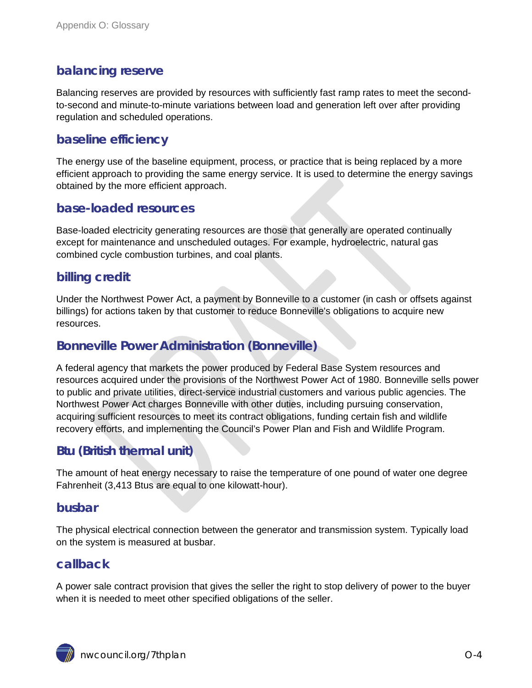# **balancing reserve**

Balancing reserves are provided by resources with sufficiently fast ramp rates to meet the secondto-second and minute-to-minute variations between load and generation left over after providing regulation and scheduled operations.

# **baseline efficiency**

The energy use of the baseline equipment, process, or practice that is being replaced by a more efficient approach to providing the same energy service. It is used to determine the energy savings obtained by the more efficient approach.

### **base-loaded resources**

Base-loaded electricity generating resources are those that generally are operated continually except for maintenance and unscheduled outages. For example, hydroelectric, natural gas combined cycle combustion turbines, and coal plants.

# **billing credit**

Under the Northwest Power Act, a payment by Bonneville to a customer (in cash or offsets against billings) for actions taken by that customer to reduce Bonneville's obligations to acquire new resources.

# **Bonneville Power Administration (Bonneville)**

A federal agency that markets the power produced by Federal Base System resources and resources acquired under the provisions of the Northwest Power Act of 1980. Bonneville sells power to public and private utilities, direct-service industrial customers and various public agencies. The Northwest Power Act charges Bonneville with other duties, including pursuing conservation, acquiring sufficient resources to meet its contract obligations, funding certain fish and wildlife recovery efforts, and implementing the Council's Power Plan and Fish and Wildlife Program.

# **Btu (British thermal unit)**

The amount of heat energy necessary to raise the temperature of one pound of water one degree Fahrenheit (3,413 Btus are equal to one kilowatt-hour).

#### **busbar**

The physical electrical connection between the generator and transmission system. Typically load on the system is measured at busbar.

## **callback**

A power sale contract provision that gives the seller the right to stop delivery of power to the buyer when it is needed to meet other specified obligations of the seller.

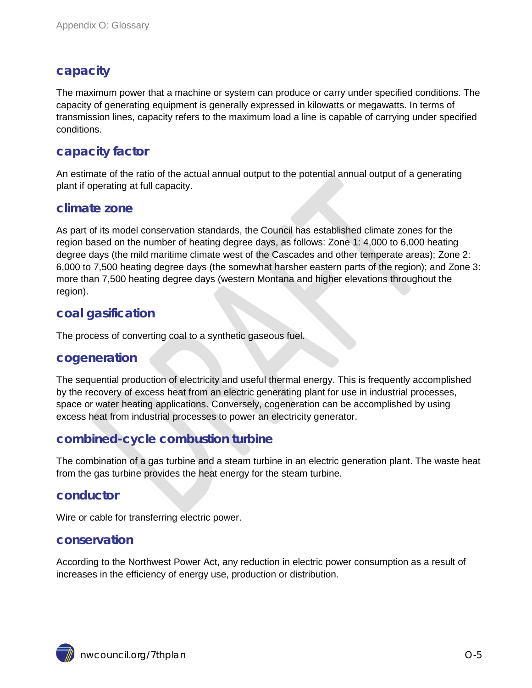# **capacity**

The maximum power that a machine or system can produce or carry under specified conditions. The capacity of generating equipment is generally expressed in kilowatts or megawatts. In terms of transmission lines, capacity refers to the maximum load a line is capable of carrying under specified conditions.

# **capacity factor**

An estimate of the ratio of the actual annual output to the potential annual output of a generating plant if operating at full capacity.

### **climate zone**

As part of its model conservation standards, the Council has established climate zones for the region based on the number of heating degree days, as follows: Zone 1: 4,000 to 6,000 heating degree days (the mild maritime climate west of the Cascades and other temperate areas); Zone 2: 6,000 to 7,500 heating degree days (the somewhat harsher eastern parts of the region); and Zone 3: more than 7,500 heating degree days (western Montana and higher elevations throughout the region).

# **coal gasification**

The process of converting coal to a synthetic gaseous fuel.

#### **cogeneration**

The sequential production of electricity and useful thermal energy. This is frequently accomplished by the recovery of excess heat from an electric generating plant for use in industrial processes, space or water heating applications. Conversely, cogeneration can be accomplished by using excess heat from industrial processes to power an electricity generator.

# **combined-cycle combustion turbine**

The combination of a gas turbine and a steam turbine in an electric generation plant. The waste heat from the gas turbine provides the heat energy for the steam turbine.

## **conductor**

Wire or cable for transferring electric power.

#### **conservation**

According to the Northwest Power Act, any reduction in electric power consumption as a result of increases in the efficiency of energy use, production or distribution.

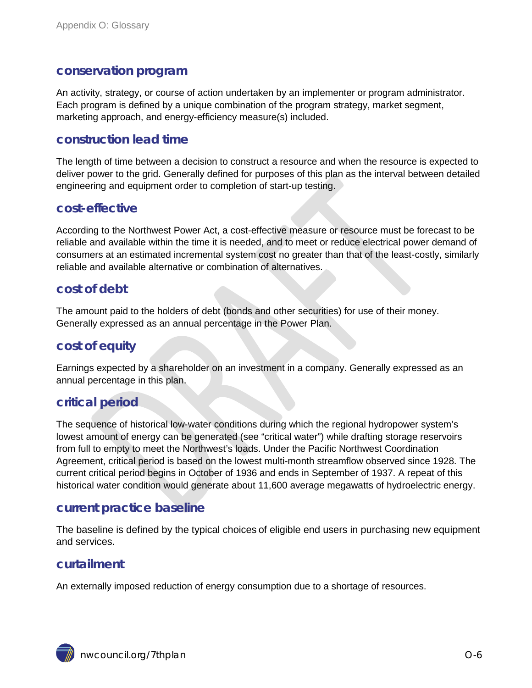#### **conservation program**

An activity, strategy, or course of action undertaken by an implementer or program administrator. Each program is defined by a unique combination of the program strategy, market segment, marketing approach, and energy-efficiency measure(s) included.

### **construction lead time**

The length of time between a decision to construct a resource and when the resource is expected to deliver power to the grid. Generally defined for purposes of this plan as the interval between detailed engineering and equipment order to completion of start-up testing.

#### **cost-effective**

According to the Northwest Power Act, a cost-effective measure or resource must be forecast to be reliable and available within the time it is needed, and to meet or reduce electrical power demand of consumers at an estimated incremental system cost no greater than that of the least-costly, similarly reliable and available alternative or combination of alternatives.

#### **cost of debt**

The amount paid to the holders of debt (bonds and other securities) for use of their money. Generally expressed as an annual percentage in the Power Plan.

#### **cost of equity**

Earnings expected by a shareholder on an investment in a company. Generally expressed as an annual percentage in this plan.

## **critical period**

The sequence of historical low-water conditions during which the regional hydropower system's lowest amount of energy can be generated (see "critical water") while drafting storage reservoirs from full to empty to meet the Northwest's loads. Under the Pacific Northwest Coordination Agreement, critical period is based on the lowest multi-month streamflow observed since 1928. The current critical period begins in October of 1936 and ends in September of 1937. A repeat of this historical water condition would generate about 11,600 average megawatts of hydroelectric energy.

#### **current practice baseline**

The baseline is defined by the typical choices of eligible end users in purchasing new equipment and services.

#### **curtailment**

An externally imposed reduction of energy consumption due to a shortage of resources.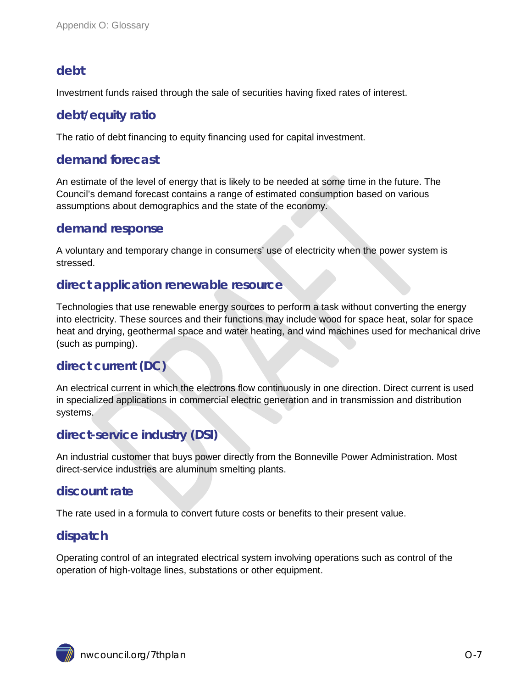# **debt**

Investment funds raised through the sale of securities having fixed rates of interest.

# **debt/equity ratio**

The ratio of debt financing to equity financing used for capital investment.

# **demand forecast**

An estimate of the level of energy that is likely to be needed at some time in the future. The Council's demand forecast contains a range of estimated consumption based on various assumptions about demographics and the state of the economy.

## **demand response**

A voluntary and temporary change in consumers' use of electricity when the power system is stressed.

## **direct application renewable resource**

Technologies that use renewable energy sources to perform a task without converting the energy into electricity. These sources and their functions may include wood for space heat, solar for space heat and drying, geothermal space and water heating, and wind machines used for mechanical drive (such as pumping).

# **direct current (DC)**

An electrical current in which the electrons flow continuously in one direction. Direct current is used in specialized applications in commercial electric generation and in transmission and distribution systems.

# **direct-service industry (DSI)**

An industrial customer that buys power directly from the Bonneville Power Administration. Most direct-service industries are aluminum smelting plants.

## **discount rate**

The rate used in a formula to convert future costs or benefits to their present value.

# **dispatch**

Operating control of an integrated electrical system involving operations such as control of the operation of high-voltage lines, substations or other equipment.

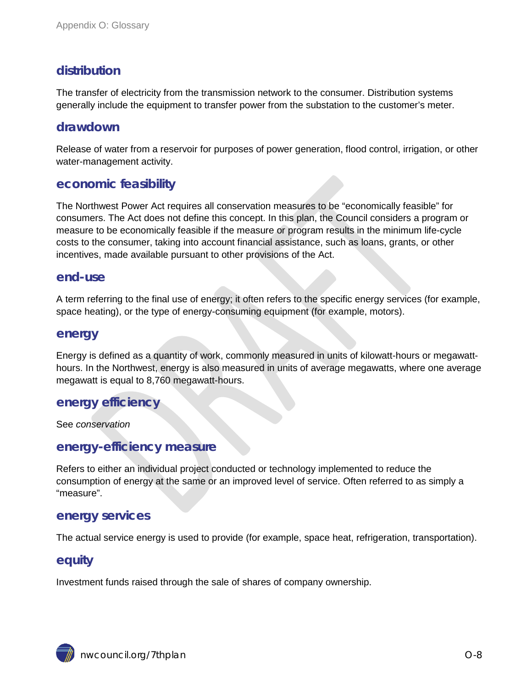# **distribution**

The transfer of electricity from the transmission network to the consumer. Distribution systems generally include the equipment to transfer power from the substation to the customer's meter.

#### **drawdown**

Release of water from a reservoir for purposes of power generation, flood control, irrigation, or other water-management activity.

#### **economic feasibility**

The Northwest Power Act requires all conservation measures to be "economically feasible" for consumers. The Act does not define this concept. In this plan, the Council considers a program or measure to be economically feasible if the measure or program results in the minimum life-cycle costs to the consumer, taking into account financial assistance, such as loans, grants, or other incentives, made available pursuant to other provisions of the Act.

#### **end-use**

A term referring to the final use of energy; it often refers to the specific energy services (for example, space heating), or the type of energy-consuming equipment (for example, motors).

#### **energy**

Energy is defined as a quantity of work, commonly measured in units of kilowatt-hours or megawatthours. In the Northwest, energy is also measured in units of average megawatts, where one average megawatt is equal to 8,760 megawatt-hours.

#### **energy efficiency**

See *conservation*

### **energy-efficiency measure**

Refers to either an individual project conducted or technology implemented to reduce the consumption of energy at the same or an improved level of service. Often referred to as simply a "measure".

#### **energy services**

The actual service energy is used to provide (for example, space heat, refrigeration, transportation).

#### **equity**

Investment funds raised through the sale of shares of company ownership.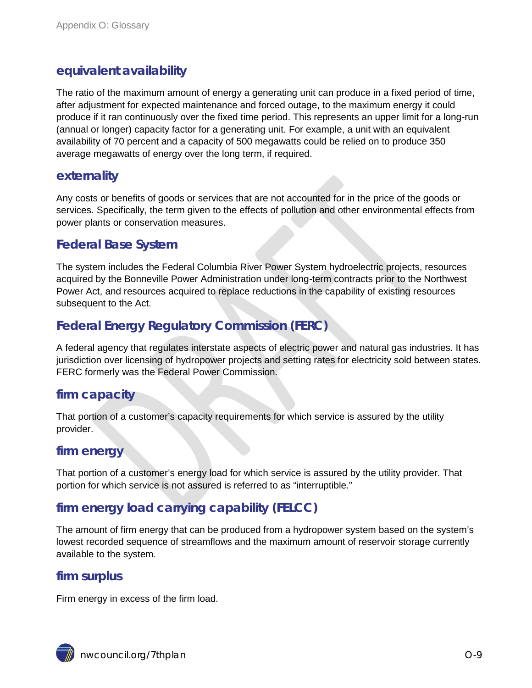# **equivalent availability**

The ratio of the maximum amount of energy a generating unit can produce in a fixed period of time, after adjustment for expected maintenance and forced outage, to the maximum energy it could produce if it ran continuously over the fixed time period. This represents an upper limit for a long-run (annual or longer) capacity factor for a generating unit. For example, a unit with an equivalent availability of 70 percent and a capacity of 500 megawatts could be relied on to produce 350 average megawatts of energy over the long term, if required.

## **externality**

Any costs or benefits of goods or services that are not accounted for in the price of the goods or services. Specifically, the term given to the effects of pollution and other environmental effects from power plants or conservation measures.

# **Federal Base System**

The system includes the Federal Columbia River Power System hydroelectric projects, resources acquired by the Bonneville Power Administration under long-term contracts prior to the Northwest Power Act, and resources acquired to replace reductions in the capability of existing resources subsequent to the Act.

# **Federal Energy Regulatory Commission (FERC)**

A federal agency that regulates interstate aspects of electric power and natural gas industries. It has jurisdiction over licensing of hydropower projects and setting rates for electricity sold between states. FERC formerly was the Federal Power Commission.

## **firm capacity**

That portion of a customer's capacity requirements for which service is assured by the utility provider.

## **firm energy**

That portion of a customer's energy load for which service is assured by the utility provider. That portion for which service is not assured is referred to as "interruptible."

# **firm energy load carrying capability (FELCC)**

The amount of firm energy that can be produced from a hydropower system based on the system's lowest recorded sequence of streamflows and the maximum amount of reservoir storage currently available to the system.

## **firm surplus**

Firm energy in excess of the firm load.

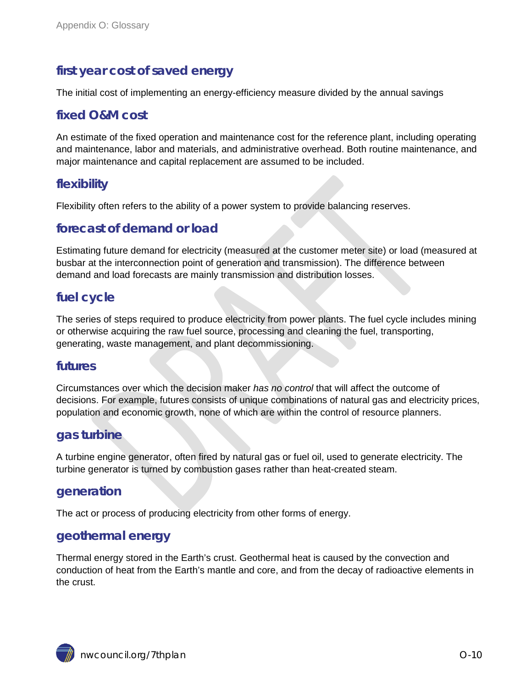# **first year cost of saved energy**

The initial cost of implementing an energy-efficiency measure divided by the annual savings

## **fixed O&M cost**

An estimate of the fixed operation and maintenance cost for the reference plant, including operating and maintenance, labor and materials, and administrative overhead. Both routine maintenance, and major maintenance and capital replacement are assumed to be included.

# **flexibility**

Flexibility often refers to the ability of a power system to provide balancing reserves.

### **forecast of demand or load**

Estimating future demand for electricity (measured at the customer meter site) or load (measured at busbar at the interconnection point of generation and transmission). The difference between demand and load forecasts are mainly transmission and distribution losses.

# **fuel cycle**

The series of steps required to produce electricity from power plants. The fuel cycle includes mining or otherwise acquiring the raw fuel source, processing and cleaning the fuel, transporting, generating, waste management, and plant decommissioning.

#### **futures**

Circumstances over which the decision maker *has no control* that will affect the outcome of decisions. For example, futures consists of unique combinations of natural gas and electricity prices, population and economic growth, none of which are within the control of resource planners.

#### **gas turbine**

A turbine engine generator, often fired by natural gas or fuel oil, used to generate electricity. The turbine generator is turned by combustion gases rather than heat-created steam.

#### **generation**

The act or process of producing electricity from other forms of energy.

#### **geothermal energy**

Thermal energy stored in the Earth's crust. Geothermal heat is caused by the convection and conduction of heat from the Earth's mantle and core, and from the decay of radioactive elements in the crust.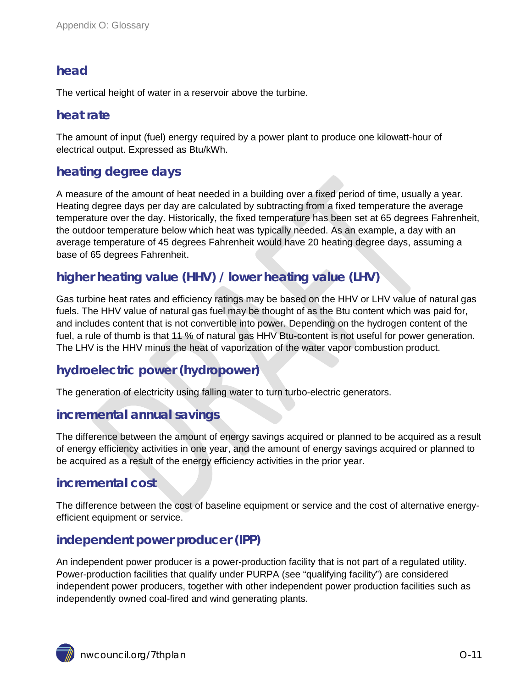# **head**

The vertical height of water in a reservoir above the turbine.

### **heat rate**

The amount of input (fuel) energy required by a power plant to produce one kilowatt-hour of electrical output. Expressed as Btu/kWh.

# **heating degree days**

A measure of the amount of heat needed in a building over a fixed period of time, usually a year. Heating degree days per day are calculated by subtracting from a fixed temperature the average temperature over the day. Historically, the fixed temperature has been set at 65 degrees Fahrenheit, the outdoor temperature below which heat was typically needed. As an example, a day with an average temperature of 45 degrees Fahrenheit would have 20 heating degree days, assuming a base of 65 degrees Fahrenheit.

# **higher heating value (HHV) / lower heating value (LHV)**

Gas turbine heat rates and efficiency ratings may be based on the HHV or LHV value of natural gas fuels. The HHV value of natural gas fuel may be thought of as the Btu content which was paid for, and includes content that is not convertible into power. Depending on the hydrogen content of the fuel, a rule of thumb is that 11 % of natural gas HHV Btu-content is not useful for power generation. The LHV is the HHV minus the heat of vaporization of the water vapor combustion product.

## **hydroelectric power (hydropower)**

The generation of electricity using falling water to turn turbo-electric generators.

## **incremental annual savings**

The difference between the amount of energy savings acquired or planned to be acquired as a result of energy efficiency activities in one year, and the amount of energy savings acquired or planned to be acquired as a result of the energy efficiency activities in the prior year.

## **incremental cost**

The difference between the cost of baseline equipment or service and the cost of alternative energyefficient equipment or service.

## **independent power producer (IPP)**

An independent power producer is a power-production facility that is not part of a regulated utility. Power-production facilities that qualify under PURPA (see "qualifying facility") are considered independent power producers, together with other independent power production facilities such as independently owned coal-fired and wind generating plants.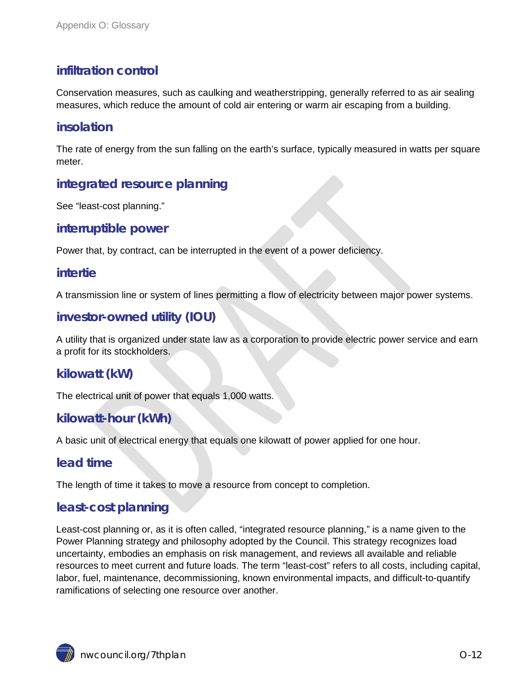# **infiltration control**

Conservation measures, such as caulking and weatherstripping, generally referred to as air sealing measures, which reduce the amount of cold air entering or warm air escaping from a building.

# **insolation**

The rate of energy from the sun falling on the earth's surface, typically measured in watts per square meter.

# **integrated resource planning**

See "least-cost planning."

#### **interruptible power**

Power that, by contract, can be interrupted in the event of a power deficiency.

#### **intertie**

A transmission line or system of lines permitting a flow of electricity between major power systems.

## **investor-owned utility (IOU)**

A utility that is organized under state law as a corporation to provide electric power service and earn a profit for its stockholders.

#### **kilowatt (kW)**

The electrical unit of power that equals 1,000 watts.

## **kilowatt-hour (kWh)**

A basic unit of electrical energy that equals one kilowatt of power applied for one hour.

## **lead time**

The length of time it takes to move a resource from concept to completion.

## **least-cost planning**

Least-cost planning or, as it is often called, "integrated resource planning," is a name given to the Power Planning strategy and philosophy adopted by the Council. This strategy recognizes load uncertainty, embodies an emphasis on risk management, and reviews all available and reliable resources to meet current and future loads. The term "least-cost" refers to all costs, including capital, labor, fuel, maintenance, decommissioning, known environmental impacts, and difficult-to-quantify ramifications of selecting one resource over another.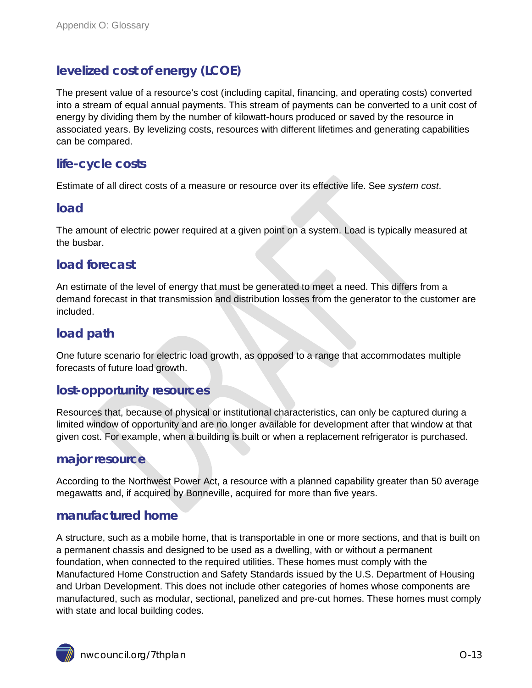# **levelized cost of energy (LCOE)**

The present value of a resource's cost (including capital, financing, and operating costs) converted into a stream of equal annual payments. This stream of payments can be converted to a unit cost of energy by dividing them by the number of kilowatt-hours produced or saved by the resource in associated years. By levelizing costs, resources with different lifetimes and generating capabilities can be compared.

# **life-cycle costs**

Estimate of all direct costs of a measure or resource over its effective life. See *system cost*.

#### **load**

The amount of electric power required at a given point on a system. Load is typically measured at the busbar.

## **load forecast**

An estimate of the level of energy that must be generated to meet a need. This differs from a demand forecast in that transmission and distribution losses from the generator to the customer are included.

# **load path**

One future scenario for electric load growth, as opposed to a range that accommodates multiple forecasts of future load growth.

#### **lost-opportunity resources**

Resources that, because of physical or institutional characteristics, can only be captured during a limited window of opportunity and are no longer available for development after that window at that given cost. For example, when a building is built or when a replacement refrigerator is purchased.

#### **major resource**

According to the Northwest Power Act, a resource with a planned capability greater than 50 average megawatts and, if acquired by Bonneville, acquired for more than five years.

## **manufactured home**

A structure, such as a mobile home, that is transportable in one or more sections, and that is built on a permanent chassis and designed to be used as a dwelling, with or without a permanent foundation, when connected to the required utilities. These homes must comply with the Manufactured Home Construction and Safety Standards issued by the U.S. Department of Housing and Urban Development. This does not include other categories of homes whose components are manufactured, such as modular, sectional, panelized and pre-cut homes. These homes must comply with state and local building codes.

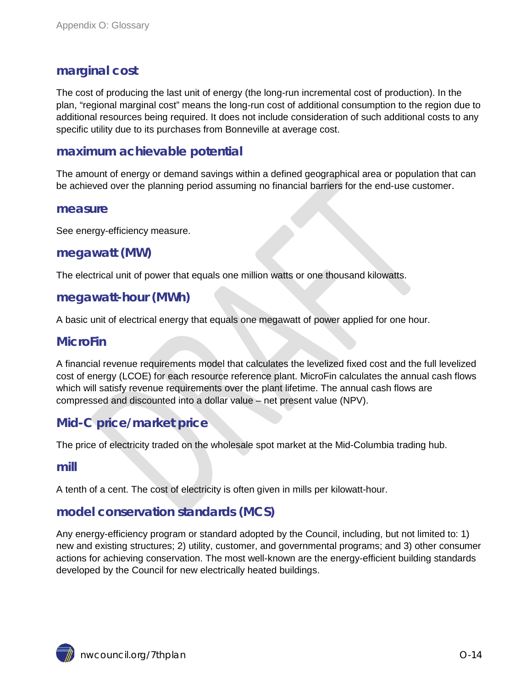# **marginal cost**

The cost of producing the last unit of energy (the long-run incremental cost of production). In the plan, "regional marginal cost" means the long-run cost of additional consumption to the region due to additional resources being required. It does not include consideration of such additional costs to any specific utility due to its purchases from Bonneville at average cost.

# **maximum achievable potential**

The amount of energy or demand savings within a defined geographical area or population that can be achieved over the planning period assuming no financial barriers for the end-use customer.

#### **measure**

See energy-efficiency measure.

#### **megawatt (MW)**

The electrical unit of power that equals one million watts or one thousand kilowatts.

#### **megawatt-hour (MWh)**

A basic unit of electrical energy that equals one megawatt of power applied for one hour.

#### **MicroFin**

A financial revenue requirements model that calculates the levelized fixed cost and the full levelized cost of energy (LCOE) for each resource reference plant. MicroFin calculates the annual cash flows which will satisfy revenue requirements over the plant lifetime. The annual cash flows are compressed and discounted into a dollar value – net present value (NPV).

# **Mid-C price/market price**

The price of electricity traded on the wholesale spot market at the Mid-Columbia trading hub.

#### **mill**

A tenth of a cent. The cost of electricity is often given in mills per kilowatt-hour.

## **model conservation standards (MCS)**

Any energy-efficiency program or standard adopted by the Council, including, but not limited to: 1) new and existing structures; 2) utility, customer, and governmental programs; and 3) other consumer actions for achieving conservation. The most well-known are the energy-efficient building standards developed by the Council for new electrically heated buildings.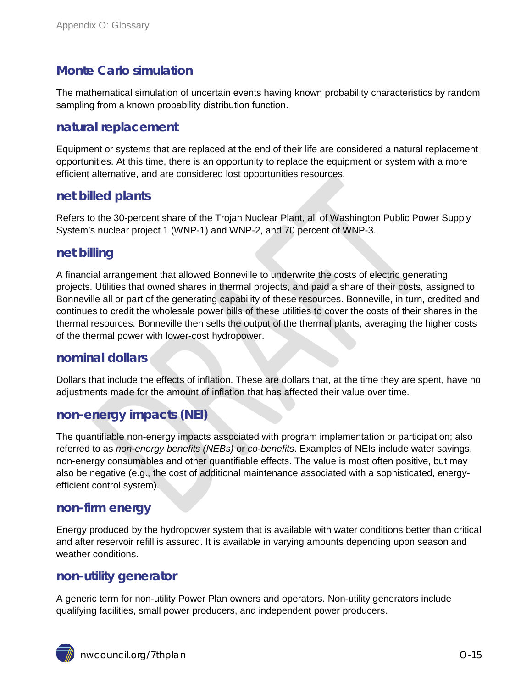# **Monte Carlo simulation**

The mathematical simulation of uncertain events having known probability characteristics by random sampling from a known probability distribution function.

## **natural replacement**

Equipment or systems that are replaced at the end of their life are considered a natural replacement opportunities. At this time, there is an opportunity to replace the equipment or system with a more efficient alternative, and are considered lost opportunities resources.

# **net billed plants**

Refers to the 30-percent share of the Trojan Nuclear Plant, all of Washington Public Power Supply System's nuclear project 1 (WNP-1) and WNP-2, and 70 percent of WNP-3.

# **net billing**

A financial arrangement that allowed Bonneville to underwrite the costs of electric generating projects. Utilities that owned shares in thermal projects, and paid a share of their costs, assigned to Bonneville all or part of the generating capability of these resources. Bonneville, in turn, credited and continues to credit the wholesale power bills of these utilities to cover the costs of their shares in the thermal resources. Bonneville then sells the output of the thermal plants, averaging the higher costs of the thermal power with lower-cost hydropower.

#### **nominal dollars**

Dollars that include the effects of inflation. These are dollars that, at the time they are spent, have no adjustments made for the amount of inflation that has affected their value over time.

# **non-energy impacts (NEI)**

The quantifiable non-energy impacts associated with program implementation or participation; also referred to as *non-energy benefits (NEBs)* or *co-benefits*. Examples of NEIs include water savings, non-energy consumables and other quantifiable effects. The value is most often positive, but may also be negative (e.g., the cost of additional maintenance associated with a sophisticated, energyefficient control system).

#### **non-firm energy**

Energy produced by the hydropower system that is available with water conditions better than critical and after reservoir refill is assured. It is available in varying amounts depending upon season and weather conditions.

#### **non-utility generator**

A generic term for non-utility Power Plan owners and operators. Non-utility generators include qualifying facilities, small power producers, and independent power producers.

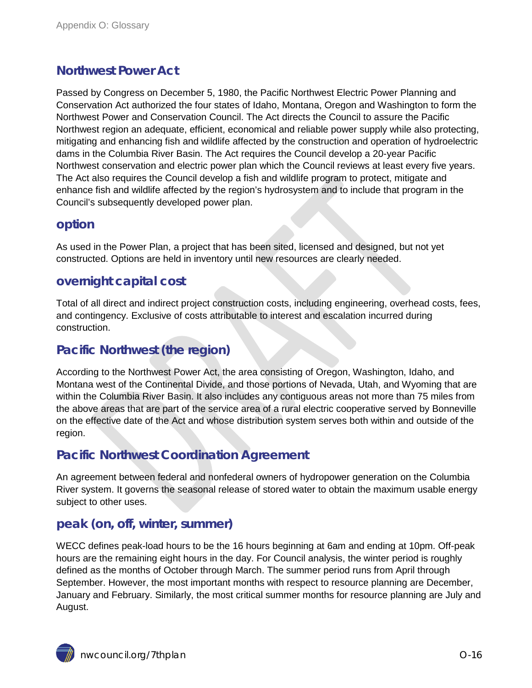# **Northwest Power Act**

Passed by Congress on December 5, 1980, the Pacific Northwest Electric Power Planning and Conservation Act authorized the four states of Idaho, Montana, Oregon and Washington to form the Northwest Power and Conservation Council. The Act directs the Council to assure the Pacific Northwest region an adequate, efficient, economical and reliable power supply while also protecting, mitigating and enhancing fish and wildlife affected by the construction and operation of hydroelectric dams in the Columbia River Basin. The Act requires the Council develop a 20-year Pacific Northwest conservation and electric power plan which the Council reviews at least every five years. The Act also requires the Council develop a fish and wildlife program to protect, mitigate and enhance fish and wildlife affected by the region's hydrosystem and to include that program in the Council's subsequently developed power plan.

## **option**

As used in the Power Plan, a project that has been sited, licensed and designed, but not yet constructed. Options are held in inventory until new resources are clearly needed.

# **overnight capital cost**

Total of all direct and indirect project construction costs, including engineering, overhead costs, fees, and contingency. Exclusive of costs attributable to interest and escalation incurred during construction.

# **Pacific Northwest (the region)**

According to the Northwest Power Act, the area consisting of Oregon, Washington, Idaho, and Montana west of the Continental Divide, and those portions of Nevada, Utah, and Wyoming that are within the Columbia River Basin. It also includes any contiguous areas not more than 75 miles from the above areas that are part of the service area of a rural electric cooperative served by Bonneville on the effective date of the Act and whose distribution system serves both within and outside of the region.

# **Pacific Northwest Coordination Agreement**

An agreement between federal and nonfederal owners of hydropower generation on the Columbia River system. It governs the seasonal release of stored water to obtain the maximum usable energy subject to other uses.

# **peak (on, off, winter, summer)**

WECC defines peak-load hours to be the 16 hours beginning at 6am and ending at 10pm. Off-peak hours are the remaining eight hours in the day. For Council analysis, the winter period is roughly defined as the months of October through March. The summer period runs from April through September. However, the most important months with respect to resource planning are December, January and February. Similarly, the most critical summer months for resource planning are July and August.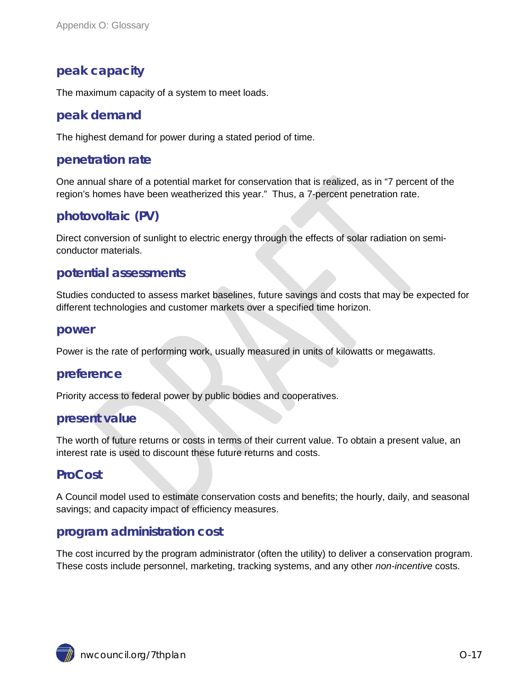# **peak capacity**

The maximum capacity of a system to meet loads.

#### **peak demand**

The highest demand for power during a stated period of time.

#### **penetration rate**

One annual share of a potential market for conservation that is realized, as in "7 percent of the region's homes have been weatherized this year." Thus, a 7-percent penetration rate.

# **photovoltaic (PV)**

Direct conversion of sunlight to electric energy through the effects of solar radiation on semiconductor materials.

#### **potential assessments**

Studies conducted to assess market baselines, future savings and costs that may be expected for different technologies and customer markets over a specified time horizon.

#### **power**

Power is the rate of performing work, usually measured in units of kilowatts or megawatts.

#### **preference**

Priority access to federal power by public bodies and cooperatives.

#### **present value**

The worth of future returns or costs in terms of their current value. To obtain a present value, an interest rate is used to discount these future returns and costs.

## **ProCost**

A Council model used to estimate conservation costs and benefits; the hourly, daily, and seasonal savings; and capacity impact of efficiency measures.

#### **program administration cost**

The cost incurred by the program administrator (often the utility) to deliver a conservation program. These costs include personnel, marketing, tracking systems, and any other *non-incentive* costs.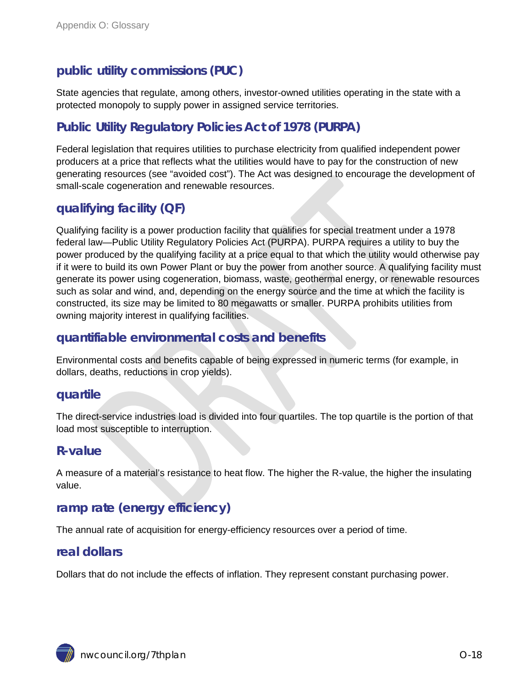# **public utility commissions (PUC)**

State agencies that regulate, among others, investor-owned utilities operating in the state with a protected monopoly to supply power in assigned service territories.

# **Public Utility Regulatory Policies Act of 1978 (PURPA)**

Federal legislation that requires utilities to purchase electricity from qualified independent power producers at a price that reflects what the utilities would have to pay for the construction of new generating resources (see "avoided cost"). The Act was designed to encourage the development of small-scale cogeneration and renewable resources.

# **qualifying facility (QF)**

Qualifying facility is a power production facility that qualifies for special treatment under a 1978 federal law—Public Utility Regulatory Policies Act (PURPA). PURPA requires a utility to buy the power produced by the qualifying facility at a price equal to that which the utility would otherwise pay if it were to build its own Power Plant or buy the power from another source. A qualifying facility must generate its power using cogeneration, biomass, waste, geothermal energy, or renewable resources such as solar and wind, and, depending on the energy source and the time at which the facility is constructed, its size may be limited to 80 megawatts or smaller. PURPA prohibits utilities from owning majority interest in qualifying facilities.

# **quantifiable environmental costs and benefits**

Environmental costs and benefits capable of being expressed in numeric terms (for example, in dollars, deaths, reductions in crop yields).

#### **quartile**

The direct-service industries load is divided into four quartiles. The top quartile is the portion of that load most susceptible to interruption.

#### **R-value**

A measure of a material's resistance to heat flow. The higher the R-value, the higher the insulating value.

# **ramp rate (energy efficiency)**

The annual rate of acquisition for energy-efficiency resources over a period of time.

#### **real dollars**

Dollars that do not include the effects of inflation. They represent constant purchasing power.

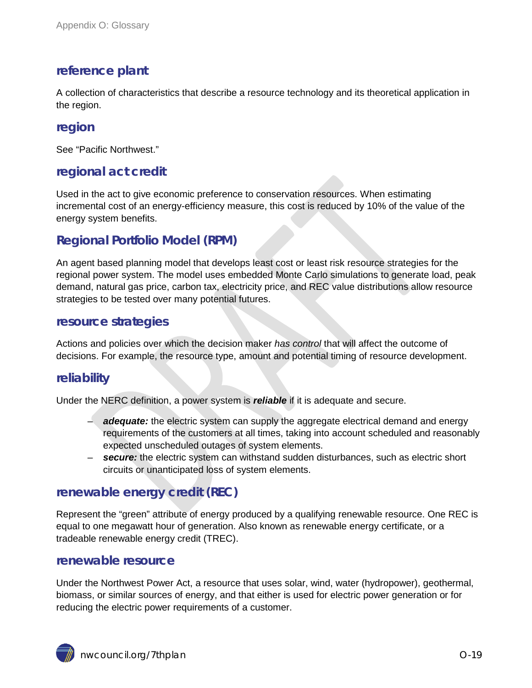# **reference plant**

A collection of characteristics that describe a resource technology and its theoretical application in the region.

#### **region**

See "Pacific Northwest."

# **regional act credit**

Used in the act to give economic preference to conservation resources. When estimating incremental cost of an energy-efficiency measure, this cost is reduced by 10% of the value of the energy system benefits.

# **Regional Portfolio Model (RPM)**

An agent based planning model that develops least cost or least risk resource strategies for the regional power system. The model uses embedded Monte Carlo simulations to generate load, peak demand, natural gas price, carbon tax, electricity price, and REC value distributions allow resource strategies to be tested over many potential futures.

#### **resource strategies**

Actions and policies over which the decision maker *has control* that will affect the outcome of decisions. For example, the resource type, amount and potential timing of resource development.

## **reliability**

Under the NERC definition, a power system is *reliable* if it is adequate and secure.

- *adequate:* the electric system can supply the aggregate electrical demand and energy requirements of the customers at all times, taking into account scheduled and reasonably expected unscheduled outages of system elements.
- *secure:* the electric system can withstand sudden disturbances, such as electric short circuits or unanticipated loss of system elements.

## **renewable energy credit (REC)**

Represent the "green" attribute of energy produced by a qualifying renewable resource. One REC is equal to one megawatt hour of generation. Also known as renewable energy certificate, or a tradeable renewable energy credit (TREC).

#### **renewable resource**

Under the Northwest Power Act, a resource that uses solar, wind, water (hydropower), geothermal, biomass, or similar sources of energy, and that either is used for electric power generation or for reducing the electric power requirements of a customer.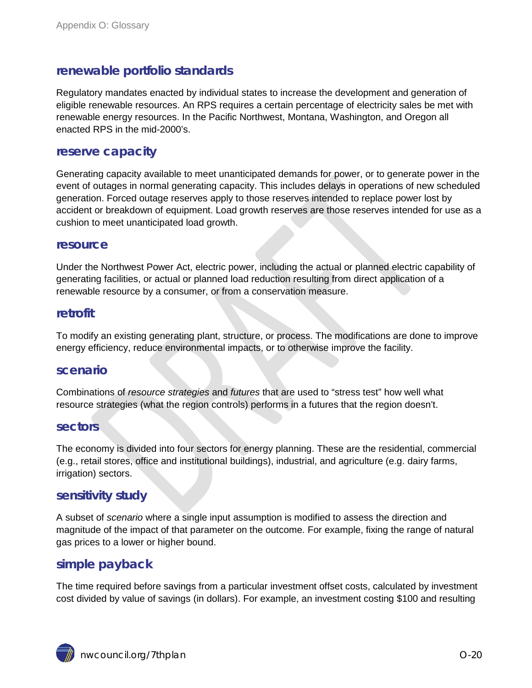# **renewable portfolio standards**

Regulatory mandates enacted by individual states to increase the development and generation of eligible renewable resources. An RPS requires a certain percentage of electricity sales be met with renewable energy resources. In the Pacific Northwest, Montana, Washington, and Oregon all enacted RPS in the mid-2000's.

#### **reserve capacity**

Generating capacity available to meet unanticipated demands for power, or to generate power in the event of outages in normal generating capacity. This includes delays in operations of new scheduled generation. Forced outage reserves apply to those reserves intended to replace power lost by accident or breakdown of equipment. Load growth reserves are those reserves intended for use as a cushion to meet unanticipated load growth.

#### **resource**

Under the Northwest Power Act, electric power, including the actual or planned electric capability of generating facilities, or actual or planned load reduction resulting from direct application of a renewable resource by a consumer, or from a conservation measure.

#### **retrofit**

To modify an existing generating plant, structure, or process. The modifications are done to improve energy efficiency, reduce environmental impacts, or to otherwise improve the facility.

#### **scenario**

Combinations of *resource strategies* and *futures* that are used to "stress test" how well what resource strategies (what the region controls) performs in a futures that the region doesn't.

#### **sectors**

The economy is divided into four sectors for energy planning. These are the residential, commercial (e.g., retail stores, office and institutional buildings), industrial, and agriculture (e.g. dairy farms, irrigation) sectors.

#### **sensitivity study**

A subset of *scenario* where a single input assumption is modified to assess the direction and magnitude of the impact of that parameter on the outcome. For example, fixing the range of natural gas prices to a lower or higher bound.

#### **simple payback**

The time required before savings from a particular investment offset costs, calculated by investment cost divided by value of savings (in dollars). For example, an investment costing \$100 and resulting

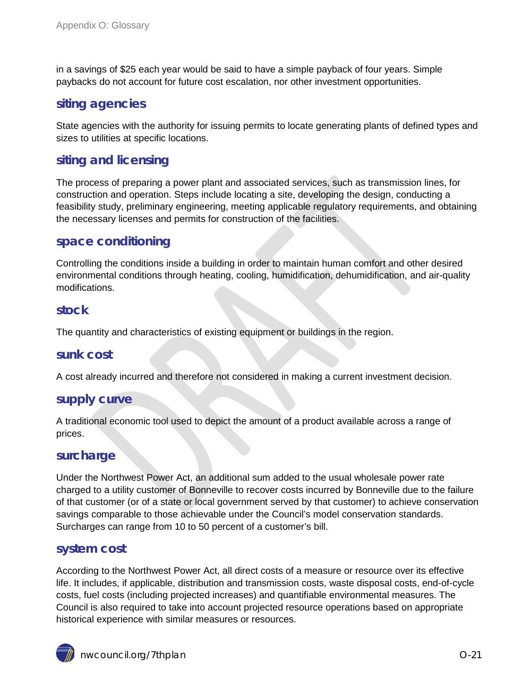in a savings of \$25 each year would be said to have a simple payback of four years. Simple paybacks do not account for future cost escalation, nor other investment opportunities.

# **siting agencies**

State agencies with the authority for issuing permits to locate generating plants of defined types and sizes to utilities at specific locations.

# **siting and licensing**

The process of preparing a power plant and associated services, such as transmission lines, for construction and operation. Steps include locating a site, developing the design, conducting a feasibility study, preliminary engineering, meeting applicable regulatory requirements, and obtaining the necessary licenses and permits for construction of the facilities.

#### **space conditioning**

Controlling the conditions inside a building in order to maintain human comfort and other desired environmental conditions through heating, cooling, humidification, dehumidification, and air-quality modifications.

#### **stock**

The quantity and characteristics of existing equipment or buildings in the region.

#### **sunk cost**

A cost already incurred and therefore not considered in making a current investment decision.

#### **supply curve**

A traditional economic tool used to depict the amount of a product available across a range of prices.

#### **surcharge**

Under the Northwest Power Act, an additional sum added to the usual wholesale power rate charged to a utility customer of Bonneville to recover costs incurred by Bonneville due to the failure of that customer (or of a state or local government served by that customer) to achieve conservation savings comparable to those achievable under the Council's model conservation standards. Surcharges can range from 10 to 50 percent of a customer's bill.

#### **system cost**

According to the Northwest Power Act, all direct costs of a measure or resource over its effective life. It includes, if applicable, distribution and transmission costs, waste disposal costs, end-of-cycle costs, fuel costs (including projected increases) and quantifiable environmental measures. The Council is also required to take into account projected resource operations based on appropriate historical experience with similar measures or resources.

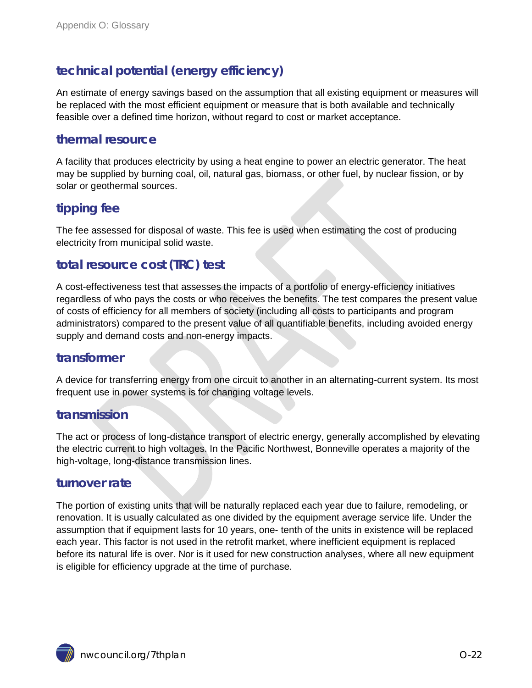# **technical potential (energy efficiency)**

An estimate of energy savings based on the assumption that all existing equipment or measures will be replaced with the most efficient equipment or measure that is both available and technically feasible over a defined time horizon, without regard to cost or market acceptance.

# **thermal resource**

A facility that produces electricity by using a heat engine to power an electric generator. The heat may be supplied by burning coal, oil, natural gas, biomass, or other fuel, by nuclear fission, or by solar or geothermal sources.

# **tipping fee**

The fee assessed for disposal of waste. This fee is used when estimating the cost of producing electricity from municipal solid waste.

# **total resource cost (TRC) test**

A cost-effectiveness test that assesses the impacts of a portfolio of energy-efficiency initiatives regardless of who pays the costs or who receives the benefits. The test compares the present value of costs of efficiency for all members of society (including all costs to participants and program administrators) compared to the present value of all quantifiable benefits, including avoided energy supply and demand costs and non-energy impacts.

#### **transformer**

A device for transferring energy from one circuit to another in an alternating-current system. Its most frequent use in power systems is for changing voltage levels.

## **transmission**

The act or process of long-distance transport of electric energy, generally accomplished by elevating the electric current to high voltages. In the Pacific Northwest, Bonneville operates a majority of the high-voltage, long-distance transmission lines.

#### **turnover rate**

The portion of existing units that will be naturally replaced each year due to failure, remodeling, or renovation. It is usually calculated as one divided by the equipment average service life. Under the assumption that if equipment lasts for 10 years, one- tenth of the units in existence will be replaced each year. This factor is not used in the retrofit market, where inefficient equipment is replaced before its natural life is over. Nor is it used for new construction analyses, where all new equipment is eligible for efficiency upgrade at the time of purchase.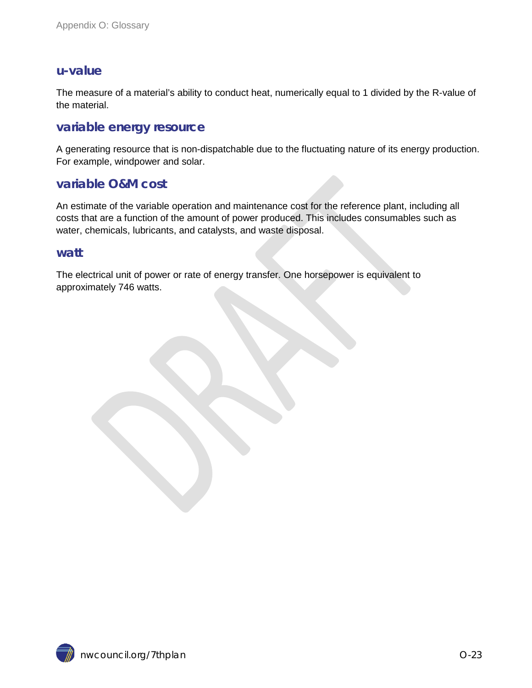#### **u-value**

The measure of a material's ability to conduct heat, numerically equal to 1 divided by the R-value of the material.

#### **variable energy resource**

A generating resource that is non-dispatchable due to the fluctuating nature of its energy production. For example, windpower and solar.

#### **variable O&M cost**

An estimate of the variable operation and maintenance cost for the reference plant, including all costs that are a function of the amount of power produced. This includes consumables such as water, chemicals, lubricants, and catalysts, and waste disposal.

#### **watt**

The electrical unit of power or rate of energy transfer. One horsepower is equivalent to approximately 746 watts.